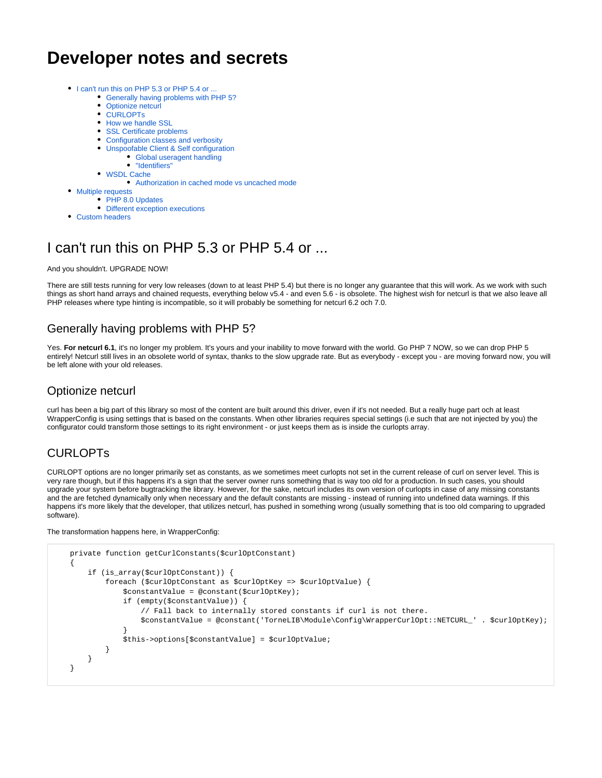# **Developer notes and secrets**

- [I can't run this on PHP 5.3 or PHP 5.4 or ...](#page-0-0)
	- [Generally having problems with PHP 5?](#page-0-1)
	- [Optionize netcurl](#page-0-2)
	- [CURLOPTs](#page-0-3)
	- [How we handle SSL](#page-1-0)
	- [SSL Certificate problems](#page-1-1)
	- [Configuration classes and verbosity](#page-1-2)
	- [Unspoofable Client & Self configuration](#page-2-0)
		- [Global useragent handling](#page-2-1)
		- ["Identifiers"](#page-2-2)
	- [WSDL Cache](#page-2-3)
		- [Authorization in cached mode vs uncached mode](#page-3-0)
- [Multiple requests](#page-3-1)
	- [PHP 8.0 Updates](#page-3-2)
	- [Different exception executions](#page-3-3)
- [Custom headers](#page-4-0)

# <span id="page-0-0"></span>I can't run this on PHP 5.3 or PHP 5.4 or ...

And you shouldn't. UPGRADE NOW!

There are still tests running for very low releases (down to at least PHP 5.4) but there is no longer any guarantee that this will work. As we work with such things as short hand arrays and chained requests, everything below v5.4 - and even 5.6 - is obsolete. The highest wish for netcurl is that we also leave all PHP releases where type hinting is incompatible, so it will probably be something for netcurl 6.2 och 7.0.

## <span id="page-0-1"></span>Generally having problems with PHP 5?

Yes. For netcurl 6.1, it's no longer my problem. It's yours and your inability to move forward with the world. Go PHP 7 NOW, so we can drop PHP 5 entirely! Netcurl still lives in an obsolete world of syntax, thanks to the slow upgrade rate. But as everybody - except you - are moving forward now, you will be left alone with your old releases.

### <span id="page-0-2"></span>Optionize netcurl

curl has been a big part of this library so most of the content are built around this driver, even if it's not needed. But a really huge part och at least WrapperConfig is using settings that is based on the constants. When other libraries requires special settings (i.e such that are not injected by you) the configurator could transform those settings to its right environment - or just keeps them as is inside the curlopts array.

## <span id="page-0-3"></span>CURLOPTs

CURLOPT options are no longer primarily set as constants, as we sometimes meet curlopts not set in the current release of curl on server level. This is very rare though, but if this happens it's a sign that the server owner runs something that is way too old for a production. In such cases, you should upgrade your system before bugtracking the library. However, for the sake, netcurl includes its own version of curlopts in case of any missing constants and the are fetched dynamically only when necessary and the default constants are missing - instead of running into undefined data warnings. If this happens it's more likely that the developer, that utilizes netcurl, has pushed in something wrong (usually something that is too old comparing to upgraded software).

#### The transformation happens here, in WrapperConfig:

```
 private function getCurlConstants($curlOptConstant)
    {
        if (is_array($curlOptConstant)) {
            foreach ($curlOptConstant as $curlOptKey => $curlOptValue) {
                $constantValue = @constant($curlOptKey);
                if (empty($constantValue)) {
                    // Fall back to internally stored constants if curl is not there.
                    $constantValue = @constant('TorneLIB\Module\Config\WrapperCurlOpt::NETCURL_' . $curlOptKey);
 }
                $this->options[$constantValue] = $curlOptValue;
 }
        }
    }
```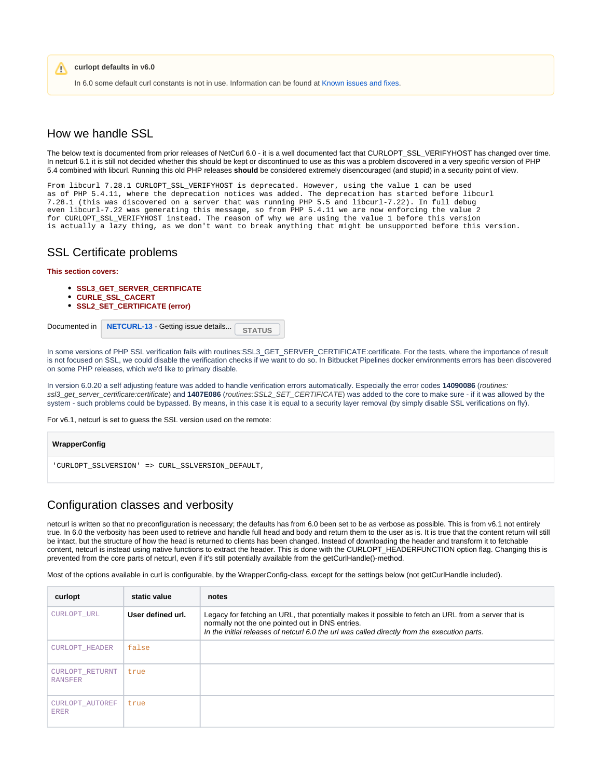**curlopt defaults in v6.0** Λ

In 6.0 some default curl constants is not in use. Information can be found at [Known issues and fixes.](https://docs.tornevall.net/display/TORNEVALL/Known+issues+and+fixes)

### <span id="page-1-0"></span>How we handle SSL

The below text is documented from prior releases of NetCurl 6.0 - it is a well documented fact that CURLOPT\_SSL\_VERIFYHOST has changed over time. In netcurl 6.1 it is still not decided whether this should be kept or discontinued to use as this was a problem discovered in a very specific version of PHP 5.4 combined with libcurl. Running this old PHP releases **should** be considered extremely disencouraged (and stupid) in a security point of view.

From libcurl 7.28.1 CURLOPT\_SSL\_VERIFYHOST is deprecated. However, using the value 1 can be used as of PHP 5.4.11, where the deprecation notices was added. The deprecation has started before libcurl 7.28.1 (this was discovered on a server that was running PHP 5.5 and libcurl-7.22). In full debug even libcurl-7.22 was generating this message, so from PHP 5.4.11 we are now enforcing the value 2 for CURLOPT SSL VERIFYHOST instead. The reason of why we are using the value 1 before this version is actually a lazy thing, as we don't want to break anything that might be unsupported before this version.

### <span id="page-1-1"></span>SSL Certificate problems

#### **This section covers:**

- **SSL3 GET SERVER CERTIFICATE**
- **CURLE\_SSL\_CACERT**
- **SSL2\_SET\_CERTIFICATE (error)**



In some versions of PHP SSL verification fails with routines:SSL3\_GET\_SERVER\_CERTIFICATE:certificate. For the tests, where the importance of result is not focused on SSL, we could disable the verification checks if we want to do so. In Bitbucket Pipelines docker environments errors has been discovered on some PHP releases, which we'd like to primary disable.

In version 6.0.20 a self adjusting feature was added to handle verification errors automatically. Especially the error codes **14090086** (routines: ssl3\_get\_server\_certificate:certificate) and 1407E086 (routines:SSL2\_SET\_CERTIFICATE) was added to the core to make sure - if it was allowed by the system - such problems could be bypassed. By means, in this case it is equal to a security layer removal (by simply disable SSL verifications on fly).

For v6.1, netcurl is set to guess the SSL version used on the remote:

| WrapperConfig                                    |  |  |  |  |
|--------------------------------------------------|--|--|--|--|
| 'CURLOPT_SSLVERSION' => CURL_SSLVERSION_DEFAULT, |  |  |  |  |

### <span id="page-1-2"></span>Configuration classes and verbosity

netcurl is written so that no preconfiguration is necessary; the defaults has from 6.0 been set to be as verbose as possible. This is from v6.1 not entirely true. In 6.0 the verbosity has been used to retrieve and handle full head and body and return them to the user as is. It is true that the content return will still be intact, but the structure of how the head is returned to clients has been changed. Instead of downloading the header and transform it to fetchable content, netcurl is instead using native functions to extract the header. This is done with the CURLOPT\_HEADERFUNCTION option flag. Changing this is prevented from the core parts of netcurl, even if it's still potentially available from the getCurlHandle()-method.

Most of the options available in curl is configurable, by the WrapperConfig-class, except for the settings below (not getCurlHandle included).

| curlopt                           | static value      | notes                                                                                                                                                                                                                                                    |
|-----------------------------------|-------------------|----------------------------------------------------------------------------------------------------------------------------------------------------------------------------------------------------------------------------------------------------------|
| CURLOPT URL                       | User defined url. | Legacy for fetching an URL, that potentially makes it possible to fetch an URL from a server that is<br>normally not the one pointed out in DNS entries.<br>In the initial releases of netcurl 6.0 the url was called directly from the execution parts. |
| <b>CURLOPT HEADER</b>             | false             |                                                                                                                                                                                                                                                          |
| CURLOPT RETURNT<br><b>RANSFER</b> | true              |                                                                                                                                                                                                                                                          |
| CURLOPT AUTOREF<br><b>ERER</b>    | true              |                                                                                                                                                                                                                                                          |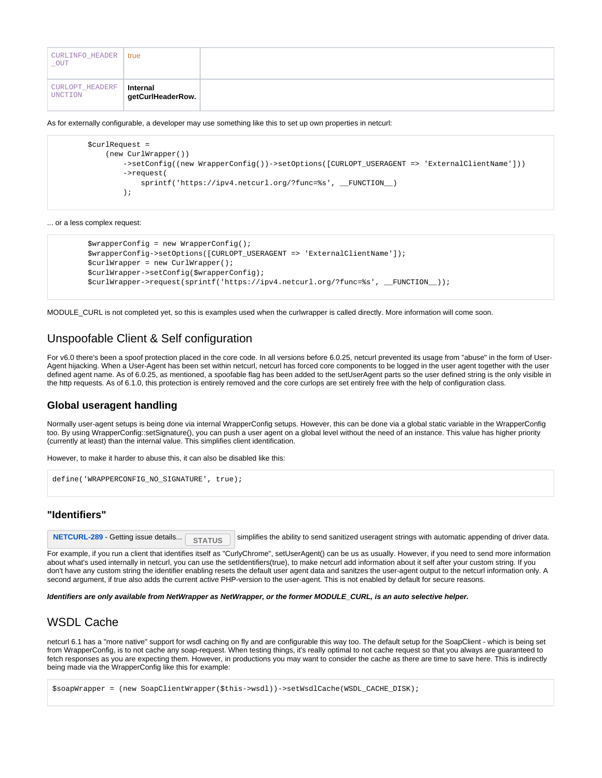| CURLINFO_HEADER<br>_OUT    | ∣ true                        |  |
|----------------------------|-------------------------------|--|
| CURLOPT_HEADERF<br>UNCTION | Internal<br>getCurlHeaderRow. |  |

As for externally configurable, a developer may use something like this to set up own properties in netcurl:

```
 $curlRequest =
             (new CurlWrapper())
                 ->setConfig((new WrapperConfig())->setOptions([CURLOPT_USERAGENT => 'ExternalClientName']))
                 ->request(
                     sprintf('https://ipv4.netcurl.org/?func=%s', __FUNCTION__)
\hspace{1.5cm} ) ;
```
... or a less complex request:

```
 $wrapperConfig = new WrapperConfig();
 $wrapperConfig->setOptions([CURLOPT_USERAGENT => 'ExternalClientName']);
 $curlWrapper = new CurlWrapper();
 $curlWrapper->setConfig($wrapperConfig);
 $curlWrapper->request(sprintf('https://ipv4.netcurl.org/?func=%s', __FUNCTION__));
```
MODULE\_CURL is not completed yet, so this is examples used when the curlwrapper is called directly. More information will come soon.

### <span id="page-2-0"></span>Unspoofable Client & Self configuration

For v6.0 there's been a spoof protection placed in the core code. In all versions before 6.0.25, netcurl prevented its usage from "abuse" in the form of User-Agent hijacking. When a User-Agent has been set within netcurl, netcurl has forced core components to be logged in the user agent together with the user defined agent name. As of 6.0.25, as mentioned, a spoofable flag has been added to the setUserAgent parts so the user defined string is the only visible in the http requests. As of 6.1.0, this protection is entirely removed and the core curlops are set entirely free with the help of configuration class.

#### <span id="page-2-1"></span>**Global useragent handling**

Normally user-agent setups is being done via internal WrapperConfig setups. However, this can be done via a global static variable in the WrapperConfig too. By using WrapperConfig::setSignature(), you can push a user agent on a global level without the need of an instance. This value has higher priority (currently at least) than the internal value. This simplifies client identification.

However, to make it harder to abuse this, it can also be disabled like this:

```
define('WRAPPERCONFIG_NO_SIGNATURE', true);
```
#### **"Identifiers"**

<span id="page-2-2"></span>

**[NETCURL-289](https://tracker.tornevall.net/browse/NETCURL-289)** - Getting issue details... status simplifies the ability to send sanitized useragent strings with automatic appending of driver data.

For example, if you run a client that identifies itself as "CurlyChrome", setUserAgent() can be us as usually. However, if you need to send more information about what's used internally in netcurl, you can use the setIdentifiers(true), to make netcurl add information about it self after your custom string. If you don't have any custom string the identifier enabling resets the default user agent data and sanitzes the user-agent output to the netcurl information only. A second argument, if true also adds the current active PHP-version to the user-agent. This is not enabled by default for secure reasons.

**Identifiers are only available from NetWrapper as NetWrapper, or the former MODULE\_CURL, is an auto selective helper.**

### <span id="page-2-3"></span>WSDL Cache

netcurl 6.1 has a "more native" support for wsdl caching on fly and are configurable this way too. The default setup for the SoapClient - which is being set from WrapperConfig, is to not cache any soap-request. When testing things, it's really optimal to not cache request so that you always are guaranteed to fetch responses as you are expecting them. However, in productions you may want to consider the cache as there are time to save here. This is indirectly being made via the WrapperConfig like this for example:

\$soapWrapper = (new SoapClientWrapper(\$this->wsdl))->setWsdlCache(WSDL\_CACHE\_DISK);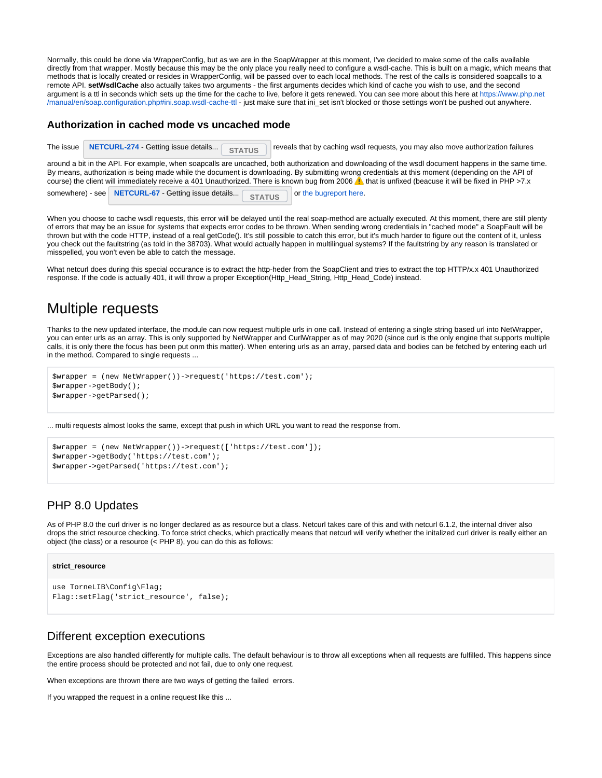Normally, this could be done via WrapperConfig, but as we are in the SoapWrapper at this moment, I've decided to make some of the calls available directly from that wrapper. Mostly because this may be the only place you really need to configure a wsdl-cache. This is built on a magic, which means that methods that is locally created or resides in WrapperConfig, will be passed over to each local methods. The rest of the calls is considered soapcalls to a remote API. **setWsdlCache** also actually takes two arguments - the first arguments decides which kind of cache you wish to use, and the second argument is a ttl in seconds which sets up the time for the cache to live, before it gets renewed. You can see more about this here at [https://www.php.net](https://www.php.net/manual/en/soap.configuration.php#ini.soap.wsdl-cache-ttl) [/manual/en/soap.configuration.php#ini.soap.wsdl-cache-ttl](https://www.php.net/manual/en/soap.configuration.php#ini.soap.wsdl-cache-ttl) - just make sure that ini\_set isn't blocked or those settings won't be pushed out anywhere.

#### <span id="page-3-0"></span>**Authorization in cached mode vs uncached mode**

|                                                                                                                                                                                                                                                                                                                                                                                                                                                                  |  | The issue   NETCURL-274 - Getting issue details<br><b>STATUS</b>     | reveals that by caching wsdl requests, you may also move authorization failures |  |  |  |  |  |
|------------------------------------------------------------------------------------------------------------------------------------------------------------------------------------------------------------------------------------------------------------------------------------------------------------------------------------------------------------------------------------------------------------------------------------------------------------------|--|----------------------------------------------------------------------|---------------------------------------------------------------------------------|--|--|--|--|--|
| around a bit in the API. For example, when soapcalls are uncached, both authorization and downloading of the wsdl document happens in the same time.<br>By means, authorization is being made while the document is downloading. By submitting wrong credentials at this moment (depending on the API of<br>course) the client will immediately receive a 401 Unauthorized. There is known bug from 2006 A that is unfixed (beacuse it will be fixed in PHP >7.x |  |                                                                      |                                                                                 |  |  |  |  |  |
|                                                                                                                                                                                                                                                                                                                                                                                                                                                                  |  | somewhere) - see NETCURL-67 - Getting issue details<br><b>STATUS</b> | or the bugreport here.                                                          |  |  |  |  |  |

When you choose to cache wsdl requests, this error will be delayed until the real soap-method are actually executed. At this moment, there are still plenty of errors that may be an issue for systems that expects error codes to be thrown. When sending wrong credentials in "cached mode" a SoapFault will be thrown but with the code HTTP, instead of a real getCode(). It's still possible to catch this error, but it's much harder to figure out the content of it, unless you check out the faultstring (as told in the 38703). What would actually happen in multilingual systems? If the faultstring by any reason is translated or misspelled, you won't even be able to catch the message.

What netcurl does during this special occurance is to extract the http-heder from the SoapClient and tries to extract the top HTTP/x.x 401 Unauthorized response. If the code is actually 401, it will throw a proper Exception(Http\_Head\_String, Http\_Head\_Code) instead.

## <span id="page-3-1"></span>Multiple requests

Thanks to the new updated interface, the module can now request multiple urls in one call. Instead of entering a single string based url into NetWrapper, you can enter urls as an array. This is only supported by NetWrapper and CurlWrapper as of may 2020 (since curl is the only engine that supports multiple calls, it is only there the focus has been put onm this matter). When entering urls as an array, parsed data and bodies can be fetched by entering each url in the method. Compared to single requests ...

```
$wrapper = (new NetWrapper())->request('https://test.com');
$wrapper->getBody();
$wrapper->getParsed();
```
... multi requests almost looks the same, except that push in which URL you want to read the response from.

```
$wrapper = (new NetWrapper())->request(['https://test.com']);
$wrapper->getBody('https://test.com');
$wrapper->getParsed('https://test.com');
```
### <span id="page-3-2"></span>PHP 8.0 Updates

As of PHP 8.0 the curl driver is no longer declared as as resource but a class. Netcurl takes care of this and with netcurl 6.1.2, the internal driver also drops the strict resource checking. To force strict checks, which practically means that netcurl will verify whether the initalized curl driver is really either an object (the class) or a resource (< PHP 8), you can do this as follows:

#### **strict\_resource**

```
use TorneLIB\Config\Flag;
Flag::setFlag('strict_resource', false);
```
#### <span id="page-3-3"></span>Different exception executions

Exceptions are also handled differently for multiple calls. The default behaviour is to throw all exceptions when all requests are fulfilled. This happens since the entire process should be protected and not fail, due to only one request.

When exceptions are thrown there are two ways of getting the failed errors.

If you wrapped the request in a online request like this ...